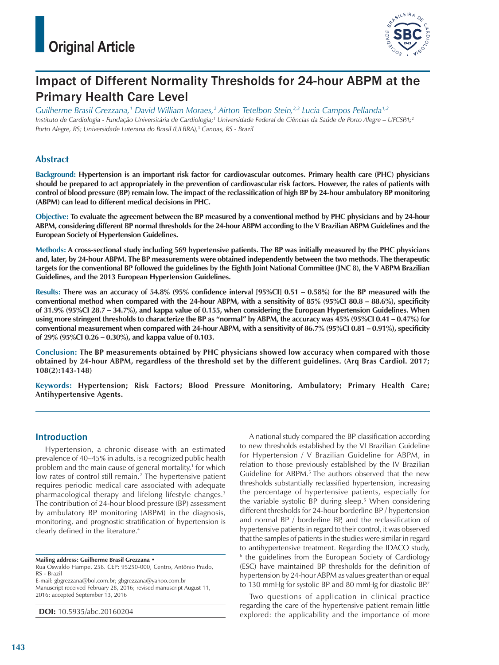

# Impact of Different Normality Thresholds for 24-hour ABPM at the Primary Health Care Level

*Guilherme Brasil Grezzana,1 David William Moraes,2 Airton Tetelbon Stein,2,3 Lucia Campos Pellanda1,2 Instituto de Cardiologia - Fundação Universitária de Cardiologia;1 Universidade Federal de Ciências da Saúde de Porto Alegre – UFCSPA;2 Porto Alegre, RS; Universidade Luterana do Brasil (ULBRA),3 Canoas, RS - Brazil*

## **Abstract**

**Background: Hypertension is an important risk factor for cardiovascular outcomes. Primary health care (PHC) physicians should be prepared to act appropriately in the prevention of cardiovascular risk factors. However, the rates of patients with control of blood pressure (BP) remain low. The impact of the reclassification of high BP by 24-hour ambulatory BP monitoring (ABPM) can lead to different medical decisions in PHC.**

**Objective: To evaluate the agreement between the BP measured by a conventional method by PHC physicians and by 24-hour ABPM, considering different BP normal thresholds for the 24-hour ABPM according to the V Brazilian ABPM Guidelines and the European Society of Hypertension Guidelines.**

**Methods: A cross-sectional study including 569 hypertensive patients. The BP was initially measured by the PHC physicians and, later, by 24-hour ABPM. The BP measurements were obtained independently between the two methods. The therapeutic targets for the conventional BP followed the guidelines by the Eighth Joint National Committee (JNC 8), the V ABPM Brazilian Guidelines, and the 2013 European Hypertension Guidelines.**

**Results: There was an accuracy of 54.8% (95% confidence interval [95%CI] 0.51 – 0.58%) for the BP measured with the conventional method when compared with the 24-hour ABPM, with a sensitivity of 85% (95%CI 80.8 – 88.6%), specificity of 31.9% (95%CI 28.7 – 34.7%), and kappa value of 0.155, when considering the European Hypertension Guidelines. When using more stringent thresholds to characterize the BP as "normal" by ABPM, the accuracy was 45% (95%CI 0.41 – 0.47%) for conventional measurement when compared with 24-hour ABPM, with a sensitivity of 86.7% (95%CI 0.81 – 0.91%), specificity of 29% (95%CI 0.26 – 0.30%), and kappa value of 0.103.**

**Conclusion: The BP measurements obtained by PHC physicians showed low accuracy when compared with those obtained by 24-hour ABPM, regardless of the threshold set by the different guidelines. (Arq Bras Cardiol. 2017; 108(2):143-148)**

**Keywords: Hypertension; Risk Factors; Blood Pressure Monitoring, Ambulatory; Primary Health Care; Antihypertensive Agents.**

## **Introduction**

Hypertension, a chronic disease with an estimated prevalence of 40–45% in adults, is a recognized public health problem and the main cause of general mortality,<sup>1</sup> for which low rates of control still remain.<sup>2</sup> The hypertensive patient requires periodic medical care associated with adequate pharmacological therapy and lifelong lifestyle changes.<sup>3</sup> The contribution of 24-hour blood pressure (BP) assessment by ambulatory BP monitoring (ABPM) in the diagnosis, monitoring, and prognostic stratification of hypertension is clearly defined in the literature.4

**Mailing address: Guilherme Brasil Grezzana •**

Rua Oswaldo Hampe, 258. CEP: 95250-000, Centro, Antônio Prado, RS - Brazil

E-mail: gbgrezzana@bol.com.br; gbgrezzana@yahoo.com.br

Manuscript received February 28, 2016; revised manuscript August 11, 2016; accepted September 13, 2016

**DOI:** 10.5935/abc.20160204

A national study compared the BP classification according to new thresholds established by the VI Brazilian Guideline for Hypertension / V Brazilian Guideline for ABPM, in relation to those previously established by the IV Brazilian Guideline for ABPM.<sup>5</sup> The authors observed that the new thresholds substantially reclassified hypertension, increasing the percentage of hypertensive patients, especially for the variable systolic BP during sleep.5 When considering different thresholds for 24-hour borderline BP / hypertension and normal BP / borderline BP, and the reclassification of hypertensive patients in regard to their control, it was observed that the samples of patients in the studies were similar in regard to antihypertensive treatment. Regarding the IDACO study, <sup>6</sup> the guidelines from the European Society of Cardiology (ESC) have maintained BP thresholds for the definition of hypertension by 24-hour ABPM as values greater than or equal to 130 mmHg for systolic BP and 80 mmHg for diastolic BP.7

Two questions of application in clinical practice regarding the care of the hypertensive patient remain little explored: the applicability and the importance of more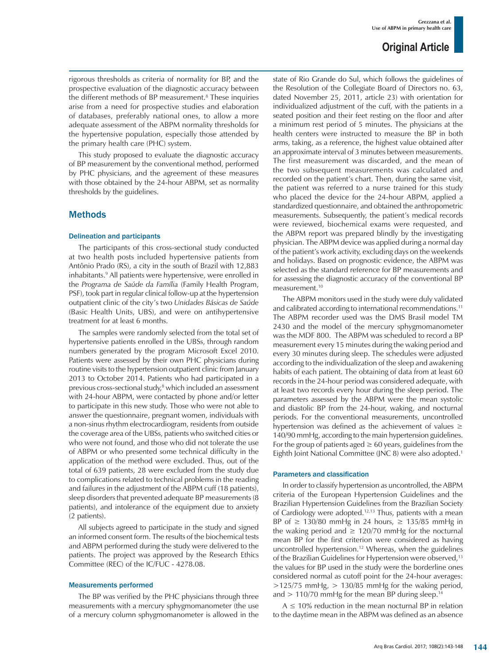rigorous thresholds as criteria of normality for BP, and the prospective evaluation of the diagnostic accuracy between the different methods of BP measurement.<sup>8</sup> These inquiries arise from a need for prospective studies and elaboration of databases, preferably national ones, to allow a more adequate assessment of the ABPM normality thresholds for the hypertensive population, especially those attended by the primary health care (PHC) system.

This study proposed to evaluate the diagnostic accuracy of BP measurement by the conventional method, performed by PHC physicians, and the agreement of these measures with those obtained by the 24-hour ABPM, set as normality thresholds by the guidelines.

## Methods

#### Delineation and participants

The participants of this cross-sectional study conducted at two health posts included hypertensive patients from Antônio Prado (RS), a city in the south of Brazil with 12,883 inhabitants.9 All patients were hypertensive, were enrolled in the *Programa de Saúde da Família* (Family Health Program, PSF), took part in regular clinical follow-up at the hypertension outpatient clinic of the city's two *Unidades Básicas de Saúde* (Basic Health Units, UBS), and were on antihypertensive treatment for at least 6 months.

The samples were randomly selected from the total set of hypertensive patients enrolled in the UBSs, through random numbers generated by the program Microsoft Excel 2010. Patients were assessed by their own PHC physicians during routine visits to the hypertension outpatient clinic from January 2013 to October 2014. Patients who had participated in a previous cross-sectional study,<sup>8</sup> which included an assessment with 24-hour ABPM, were contacted by phone and/or letter to participate in this new study. Those who were not able to answer the questionnaire, pregnant women, individuals with a non-sinus rhythm electrocardiogram, residents from outside the coverage area of the UBSs, patients who switched cities or who were not found, and those who did not tolerate the use of ABPM or who presented some technical difficulty in the application of the method were excluded. Thus, out of the total of 639 patients, 28 were excluded from the study due to complications related to technical problems in the reading and failures in the adjustment of the ABPM cuff (18 patients), sleep disorders that prevented adequate BP measurements (8 patients), and intolerance of the equipment due to anxiety (2 patients).

All subjects agreed to participate in the study and signed an informed consent form. The results of the biochemical tests and ABPM performed during the study were delivered to the patients. The project was approved by the Research Ethics Committee (REC) of the IC/FUC - 4278.08.

#### Measurements performed

The BP was verified by the PHC physicians through three measurements with a mercury sphygmomanometer (the use of a mercury column sphygmomanometer is allowed in the state of Rio Grande do Sul, which follows the guidelines of the Resolution of the Collegiate Board of Directors no. 63, dated November 25, 2011, article 23) with orientation for individualized adjustment of the cuff, with the patients in a seated position and their feet resting on the floor and after a minimum rest period of 5 minutes. The physicians at the health centers were instructed to measure the BP in both arms, taking, as a reference, the highest value obtained after an approximate interval of 3 minutes between measurements. The first measurement was discarded, and the mean of the two subsequent measurements was calculated and recorded on the patient's chart. Then, during the same visit, the patient was referred to a nurse trained for this study who placed the device for the 24-hour ABPM, applied a standardized questionnaire, and obtained the anthropometric measurements. Subsequently, the patient's medical records were reviewed, biochemical exams were requested, and the ABPM report was prepared blindly by the investigating physician. The ABPM device was applied during a normal day of the patient's work activity, excluding days on the weekends and holidays. Based on prognostic evidence, the ABPM was selected as the standard reference for BP measurements and for assessing the diagnostic accuracy of the conventional BP measurement.10

The ABPM monitors used in the study were duly validated and calibrated according to international recommendations.<sup>11</sup> The ABPM recorder used was the DMS Brasil model TM 2430 and the model of the mercury sphygmomanometer was the MDF 800. The ABPM was scheduled to record a BP measurement every 15 minutes during the waking period and every 30 minutes during sleep. The schedules were adjusted according to the individualization of the sleep and awakening habits of each patient. The obtaining of data from at least 60 records in the 24-hour period was considered adequate, with at least two records every hour during the sleep period. The parameters assessed by the ABPM were the mean systolic and diastolic BP from the 24-hour, waking, and nocturnal periods. For the conventional measurements, uncontrolled hypertension was defined as the achievement of values  $\geq$ 140/90 mmHg, according to the main hypertension guidelines. For the group of patients aged  $\geq 60$  years, guidelines from the Eighth Joint National Committee (JNC 8) were also adopted.1

#### Parameters and classification

In order to classify hypertension as uncontrolled, the ABPM criteria of the European Hypertension Guidelines and the Brazilian Hypertension Guidelines from the Brazilian Society of Cardiology were adopted.<sup>12,13</sup> Thus, patients with a mean BP of  $\geq$  130/80 mmHg in 24 hours,  $\geq$  135/85 mmHg in the waking period and  $\geq 120/70$  mmHg for the nocturnal mean BP for the first criterion were considered as having uncontrolled hypertension.<sup>12</sup> Whereas, when the guidelines of the Brazilian Guidelines for Hypertension were observed,<sup>13</sup> the values for BP used in the study were the borderline ones considered normal as cutoff point for the 24-hour averages:  $>$ 125/75 mmHg,  $>$  130/85 mmHg for the waking period, and  $> 110/70$  mmHg for the mean BP during sleep.<sup>14</sup>

 $A \leq 10\%$  reduction in the mean nocturnal BP in relation to the daytime mean in the ABPM was defined as an absence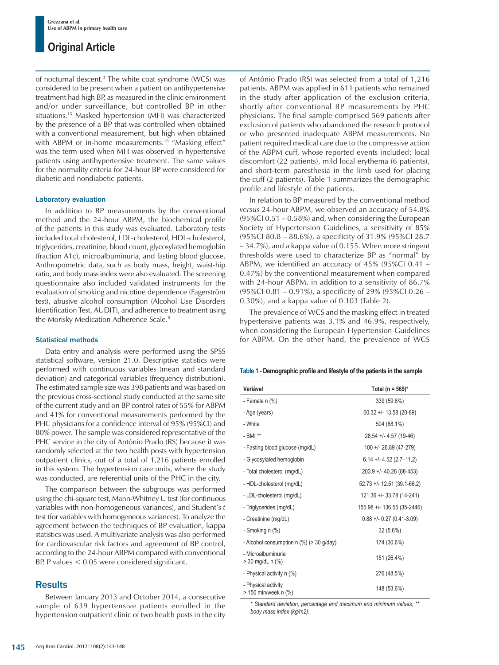of nocturnal descent.3 The white coat syndrome (WCS) was considered to be present when a patient on antihypertensive treatment had high BP, as measured in the clinic environment and/or under surveillance, but controlled BP in other situations.15 Masked hypertension (MH) was characterized by the presence of a BP that was controlled when obtained with a conventional measurement, but high when obtained with ABPM or in-home measurements.<sup>16</sup> "Masking effect" was the term used when MH was observed in hypertensive patients using antihypertensive treatment. The same values for the normality criteria for 24-hour BP were considered for diabetic and nondiabetic patients.

#### Laboratory evaluation

In addition to BP measurements by the conventional method and the 24-hour ABPM, the biochemical profile of the patients in this study was evaluated. Laboratory tests included total cholesterol, LDL-cholesterol, HDL-cholesterol, triglycerides, creatinine, blood count, glycosylated hemoglobin (fraction A1c), microalbuminuria, and fasting blood glucose. Anthropometric data, such as body mass, height, waist-hip ratio, and body mass index were also evaluated. The screening questionnaire also included validated instruments for the evaluation of smoking and nicotine dependence (Fagerström test), abusive alcohol consumption (Alcohol Use Disorders Identification Test, AUDIT), and adherence to treatment using the Morisky Medication Adherence Scale.<sup>8</sup>

#### Statistical methods

Data entry and analysis were performed using the SPSS statistical software, version 21.0. Descriptive statistics were performed with continuous variables (mean and standard deviation) and categorical variables (frequency distribution). The estimated sample size was 398 patients and was based on the previous cross-sectional study conducted at the same site of the current study and on BP control rates of 55% for ABPM and 41% for conventional measurements performed by the PHC physicians for a confidence interval of 95% (95%CI) and 80% power. The sample was considered representative of the PHC service in the city of Antônio Prado (RS) because it was randomly selected at the two health posts with hypertension outpatient clinics, out of a total of 1,216 patients enrolled in this system. The hypertension care units, where the study was conducted, are referential units of the PHC in the city.

The comparison between the subgroups was performed using the chi-square test, Mann-Whitney U test (for continuous variables with non-homogeneous variances), and Student's *t* test (for variables with homogeneous variances). To analyze the agreement between the techniques of BP evaluation, kappa statistics was used. A multivariate analysis was also performed for cardiovascular risk factors and agreement of BP control, according to the 24-hour ABPM compared with conventional BP. P values < 0.05 were considered significant.

## **Results**

Between January 2013 and October 2014, a consecutive sample of 639 hypertensive patients enrolled in the hypertension outpatient clinic of two health posts in the city of Antônio Prado (RS) was selected from a total of 1,216 patients. ABPM was applied in 611 patients who remained in the study after application of the exclusion criteria, shortly after conventional BP measurements by PHC physicians. The final sample comprised 569 patients after exclusion of patients who abandoned the research protocol or who presented inadequate ABPM measurements. No patient required medical care due to the compressive action of the ABPM cuff, whose reported events included: local discomfort (22 patients), mild local erythema (6 patients), and short-term paresthesia in the limb used for placing the cuff (2 patients). Table 1 summarizes the demographic profile and lifestyle of the patients.

In relation to BP measured by the conventional method *versus* 24-hour ABPM, we observed an accuracy of 54.8% (95%CI 0.51 – 0.58%) and, when considering the European Society of Hypertension Guidelines, a sensitivity of 85% (95%CI 80.8 – 88.6%), a specificity of 31.9% (95%CI 28.7 – 34.7%), and a kappa value of 0.155. When more stringent thresholds were used to characterize BP as "normal" by ABPM, we identified an accuracy of 45% (95%CI 0.41 – 0.47%) by the conventional measurement when compared with 24-hour ABPM, in addition to a sensitivity of 86.7% (95%CI 0.81 – 0.91%), a specificity of 29% (95%CI 0.26 – 0.30%), and a kappa value of 0.103 (Table 2).

The prevalence of WCS and the masking effect in treated hypertensive patients was 3.1% and 46.9%, respectively, when considering the European Hypertension Guidelines for ABPM. On the other hand, the prevalence of WCS

#### **Table 1 - Demographic profile and lifestyle of the patients in the sample**

| Variável                                    | Total (n = $569$ )*           |
|---------------------------------------------|-------------------------------|
| - Female n (%)                              | 339 (59.6%)                   |
| - Age (years)                               | $60.32 + 1.13.58$ (20-89)     |
| - White                                     | 504 (88.1%)                   |
| - BMI **                                    | $28.54$ +/- 4.57 (19-46)      |
| - Fasting blood glucose (mg/dL)             | $100 + 26.89$ (47-279)        |
| - Glycosylated hemoglobin                   | $6.14 + (-4.52 (2.7 - 11.2))$ |
| - Total cholesterol (mg/dL)                 | 203.9 +/- 40.28 (88-453)      |
| - HDL-cholesterol (mg/dL)                   | $52.73$ +/- 12.51 (39.1-66.2) |
| - LDL-cholesterol (mg/dL)                   | 121.36 +/- 33.78 (14-241)     |
| - Triglycerides (mg/dL)                     | 155.98 +/- 136.55 (35-2446)   |
| - Creatinine (mg/dL)                        | $0.88 + 0.27 (0.41 - 3.09)$   |
| - Smoking n (%)                             | 32 (5.6%)                     |
| - Alcohol consumption n (%) (> 30 g/day)    | 174 (30.6%)                   |
| - Microalbuminuria<br>> 30 mg/dL n (%)      | 151 (26.4%)                   |
| - Physical activity n (%)                   | 276 (48.5%)                   |
| - Physical activity<br>> 150 min/week n (%) | 148 (53.6%)                   |

*\* Standard deviation, percentage and maximum and minimum values; \*\* body mass index (kg/m2).*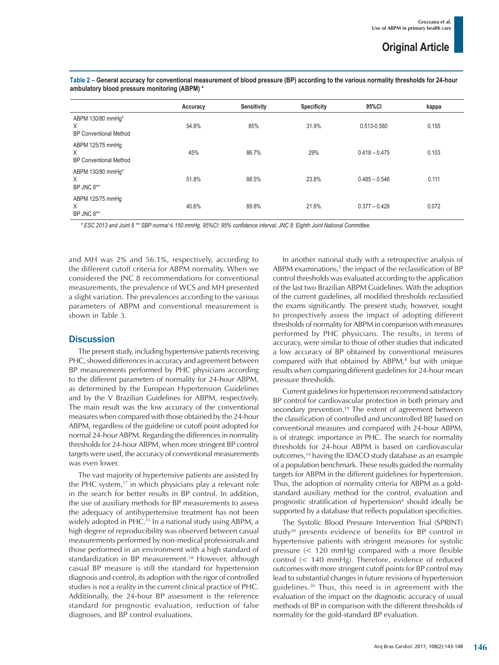|                                                         | Accuracy | Sensitivity | <b>Specificity</b> | 95%CI           | kappa |
|---------------------------------------------------------|----------|-------------|--------------------|-----------------|-------|
| ABPM 130/80 mmHg*<br>X<br><b>BP Conventional Method</b> | 54.8%    | 85%         | 31.9%              | 0.513-0.580     | 0.155 |
| ABPM 125/75 mmHg<br>X<br><b>BP Conventional Method</b>  | 45%      | 86.7%       | 29%                | $0.418 - 0.475$ | 0.103 |
| ABPM 130/80 mmHq*<br>X<br>BP JNC 8**                    | 51.8%    | 88.5%       | 23.8%              | $0.485 - 0.546$ | 0.111 |
| ABPM 125/75 mmHg<br>X<br>BP JNC 8**                     | 40.6%    | 89.8%       | 21.6%              | $0.377 - 0.428$ | 0.072 |

**Table 2 – General accuracy for conventional measurement of blood pressure (BP) according to the various normality thresholds for 24-hour ambulatory blood pressure monitoring (ABPM) \***

*\* ESC 2013 and Joint 8 \*\* SBP normal ≤ 150 mmHg. 95%CI: 95% confidence interval; JNC 8: Eighth Joint National Committee.* 

and MH was 2% and 56.1%, respectively, according to the different cutoff criteria for ABPM normality. When we considered the JNC 8 recommendations for conventional measurements, the prevalence of WCS and MH presented a slight variation. The prevalences according to the various parameters of ABPM and conventional measurement is shown in Table 3.

## **Discussion**

The present study, including hypertensive patients receiving PHC, showed differences in accuracy and agreement between BP measurements performed by PHC physicians according to the different parameters of normality for 24-hour ABPM, as determined by the European Hypertension Guidelines and by the V Brazilian Guidelines for ABPM, respectively. The main result was the low accuracy of the conventional measures when compared with those obtained by the 24-hour ABPM, regardless of the guideline or cutoff point adopted for normal 24-hour ABPM. Regarding the differences in normality thresholds for 24-hour ABPM, when more stringent BP control targets were used, the accuracy of conventional measurements was even lower.

The vast majority of hypertensive patients are assisted by the PHC system, $17$  in which physicians play a relevant role in the search for better results in BP control. In addition, the use of auxiliary methods for BP measurements to assess the adequacy of antihypertensive treatment has not been widely adopted in PHC.<sup>15</sup> In a national study using ABPM, a high degree of reproducibility was observed between casual measurements performed by non-medical professionals and those performed in an environment with a high standard of standardization in BP measurement.<sup>18</sup> However, although casual BP measure is still the standard for hypertension diagnosis and control, its adoption with the rigor of controlled studies is not a reality in the current clinical practice of PHC. Additionally, the 24-hour BP assessment is the reference standard for prognostic evaluation, reduction of false diagnoses, and BP control evaluations.

In another national study with a retrospective analysis of ABPM examinations,<sup>5</sup> the impact of the reclassification of BP control thresholds was evaluated according to the application of the last two Brazilian ABPM Guidelines. With the adoption of the current guidelines, all modified thresholds reclassified the exams significantly. The present study, however, sought to prospectively assess the impact of adopting different thresholds of normality for ABPM in comparison with measures performed by PHC physicians. The results, in terms of accuracy, were similar to those of other studies that indicated a low accuracy of BP obtained by conventional measures compared with that obtained by  $ABPM$ ,<sup>8</sup> but with unique results when comparing different guidelines for 24-hour mean pressure thresholds.

Current guidelines for hypertension recommend satisfactory BP control for cardiovascular protection in both primary and secondary prevention.<sup>19</sup> The extent of agreement between the classification of controlled and uncontrolled BP, based on conventional measures and compared with 24-hour ABPM, is of strategic importance in PHC. The search for normality thresholds for 24-hour ABPM is based on cardiovascular outcomes,<sup>14</sup> having the IDACO study database as an example of a population benchmark. These results guided the normality targets for ABPM in the different guidelines for hypertension. Thus, the adoption of normality criteria for ABPM as a goldstandard auxiliary method for the control, evaluation and prognostic stratification of hypertension<sup>4</sup> should ideally be supported by a database that reflects population specificities.

The Systolic Blood Pressure Intervention Trial (SPRINT) study<sup>20</sup> presents evidence of benefits for BP control in hypertensive patients with stringent measures for systolic pressure (< 120 mmHg) compared with a more flexible control (< 140 mmHg). Therefore, evidence of reduced outcomes with more stringent cutoff points for BP control may lead to substantial changes in future revisions of hypertension guidelines.20 Thus, this need is in agreement with the evaluation of the impact on the diagnostic accuracy of usual methods of BP in comparison with the different thresholds of normality for the gold-standard BP evaluation.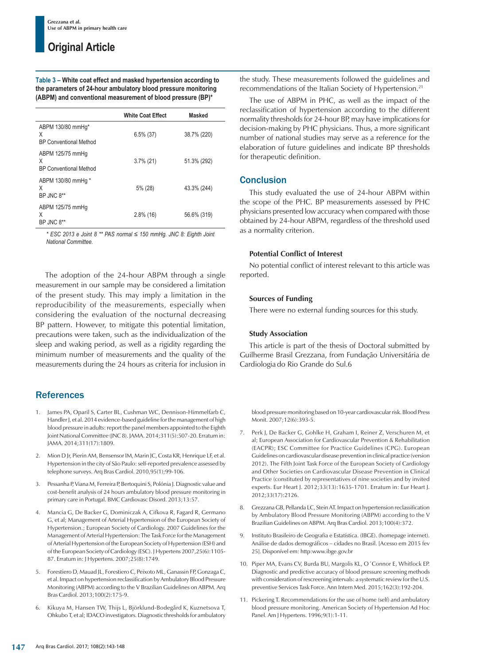**Table 3 – White coat effect and masked hypertension according to the parameters of 24-hour ambulatory blood pressure monitoring (ABPM) and conventional measurement of blood pressure (BP)\*** 

|                                                         | <b>White Coat Effect</b> | <b>Masked</b> |
|---------------------------------------------------------|--------------------------|---------------|
| ABPM 130/80 mmHg*<br>X<br><b>BP Conventional Method</b> | $6.5\%$ (37)             | 38.7% (220)   |
| ABPM 125/75 mmHg<br>X<br><b>BP Conventional Method</b>  | $3.7\%$ (21)             | 51.3% (292)   |
| ABPM 130/80 mmHg *<br>X<br>BP JNC 8**                   | 5% (28)                  | 43.3% (244)   |
| ABPM 125/75 mmHg<br>X<br>BP JNC 8**                     | $2.8\%$ (16)             | 56.6% (319)   |

*\* ESC 2013 e Joint 8 \*\* PAS normal ≤ 150 mmHg. JNC 8: Eighth Joint National Committee.* 

The adoption of the 24-hour ABPM through a single measurement in our sample may be considered a limitation of the present study. This may imply a limitation in the reproducibility of the measurements, especially when considering the evaluation of the nocturnal decreasing BP pattern. However, to mitigate this potential limitation, precautions were taken, such as the individualization of the sleep and waking period, as well as a rigidity regarding the minimum number of measurements and the quality of the measurements during the 24 hours as criteria for inclusion in

## **References**

- 1. James PA, Oparil S, Carter BL, Cushman WC, Dennison-Himmelfarb C, Handler J, et al. 2014 evidence-based guideline for the management of high blood pressure in adults: report the panel members appointed to the Eighth Joint National Committee (JNC 8). JAMA. 2014;311(5):507-20. Erratum in: JAMA. 2014;311(17):1809.
- 2. Mion D Jr, Pierin AM, Bensensor IM, Marin JC, Costa KR, Henrique LF, et al. Hypertension in the city of São Paulo: self-reported prevalence assessed by telephone surveys. Arq Bras Cardiol. 2010,95(1);99-106.
- 3. Pessanha P, Viana M, Ferreira P, Bertoquini S, Polónia J. Diagnostic value and cost-benefit analysis of 24 hours ambulatory blood pressure monitoring in primary care in Portugal. BMC Cardiovasc Disord. 2013;13:57.
- 4. Mancia G, De Backer G, Dominiczak A, Cifkova R, Fagard R, Germano G, et al; Management of Arterial Hypertension of the European Society of Hypertension.; European Society of Cardiology. 2007 Guidelines for the Management of Arterial Hypertension: The Task Force for the Management of Arterial Hypertension of the European Society of Hypertension (ESH) and of the European Society of Cardiology (ESC). J Hypertens 2007,25(6):1105- 87. Erratum in: J Hypertens. 2007;25(8):1749.
- 5. Forestiero D, Mauad JL, Forestiero C, Peixoto ML, Ganassin FP, Gonzaga C, et al. Impact on hypertension reclassification by Ambulatory Blood Pressure Monitoring (ABPM) according to the V Brazilian Guidelines on ABPM. Arq Bras Cardiol. 2013;100(2):175-9.
- 6. Kikuya M, Hansen TW, Thijs L, Björklund-Bodegård K, Kuznetsova T, Ohkubo T, et al; IDACO investigators. Diagnostic thresholds for ambulatory

the study. These measurements followed the guidelines and recommendations of the Italian Society of Hypertension.<sup>21</sup>

The use of ABPM in PHC, as well as the impact of the reclassification of hypertension according to the different normality thresholds for 24-hour BP, may have implications for decision-making by PHC physicians. Thus, a more significant number of national studies may serve as a reference for the elaboration of future guidelines and indicate BP thresholds for therapeutic definition.

## **Conclusion**

This study evaluated the use of 24-hour ABPM within the scope of the PHC. BP measurements assessed by PHC physicians presented low accuracy when compared with those obtained by 24-hour ABPM, regardless of the threshold used as a normality criterion.

## **Potential Conflict of Interest**

No potential conflict of interest relevant to this article was reported.

## **Sources of Funding**

There were no external funding sources for this study.

## **Study Association**

This article is part of the thesis of Doctoral submitted by Guilherme Brasil Grezzana, from Fundação Universitária de Cardiologia do Rio Grande do Sul.6

blood pressure monitoring based on 10-year cardiovascular risk. Blood Press Monit. 2007;12(6):393-5.

- 7. Perk J, De Backer G, Gohlke H, Graham I, Reiner Z, Verschuren M, et al; European Association for Cardiovascular Prevention & Rehabilitation (EACPR); ESC Committee for Practice Guidelines (CPG). European Guidelines on cardiovascular disease prevention in clinical practice (version 2012). The Fifth Joint Task Force of the European Society of Cardiology and Other Societies on Cardiovascular Disease Prevention in Clinical Practice (constituted by representatives of nine societies and by invited experts. Eur Heart J. 2012;33(13):1635-1701. Erratum in: Eur Heart J. 2012;33(17):2126.
- 8. Grezzana GB, Pellanda LC, Stein AT. Impact on hypertension reclassification by Ambulatory Blood Pressure Monitoring (ABPM) according to the V Brazilian Guidelines on ABPM. Arq Bras Cardiol. 2013;100(4):372.
- 9. Instituto Brasileiro de Geografia e Estatística. (IBGE). (homepage internet). Análise de dados demográficos – cidades no Brasil. [Acesso em 2015 fev 25]. Disponível em: http:www.ibge.gov.br
- 10. Piper MA, Evans CV, Burda BU, Margolis KL, O´Connor E, Whitlock EP. Diagnostic and predictive accuracy of blood pressure screening methods with consideration of rescreening intervals: a systematic review for the U.S. preventive Services Task Force. Ann Intern Med. 2015;162(3):192-204.
- 11. Pickering T. Recommendations for the use of home (self) and ambulatory blood pressure monitoring. American Society of Hypertension Ad Hoc Panel. Am J Hypertens. 1996;9(1):1-11.